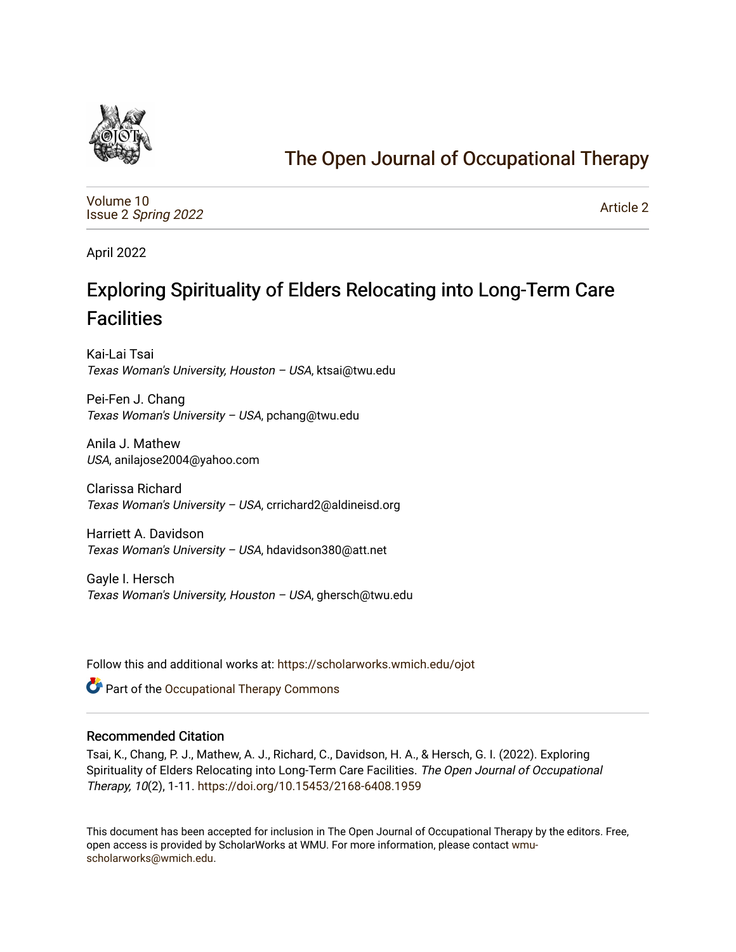

# [The Open Journal of Occupational Therapy](https://scholarworks.wmich.edu/ojot)

[Volume 10](https://scholarworks.wmich.edu/ojot/vol10) Issue 2 [Spring 2022](https://scholarworks.wmich.edu/ojot/vol10/iss2) 

[Article 2](https://scholarworks.wmich.edu/ojot/vol10/iss2/2) 

April 2022

# Exploring Spirituality of Elders Relocating into Long-Term Care **Facilities**

Kai-Lai Tsai Texas Woman's University, Houston – USA, ktsai@twu.edu

Pei-Fen J. Chang Texas Woman's University – USA, pchang@twu.edu

Anila J. Mathew USA, anilajose2004@yahoo.com

Clarissa Richard Texas Woman's University – USA, crrichard2@aldineisd.org

Harriett A. Davidson Texas Woman's University – USA, hdavidson380@att.net

Gayle I. Hersch Texas Woman's University, Houston – USA, ghersch@twu.edu

Follow this and additional works at: [https://scholarworks.wmich.edu/ojot](https://scholarworks.wmich.edu/ojot?utm_source=scholarworks.wmich.edu%2Fojot%2Fvol10%2Fiss2%2F2&utm_medium=PDF&utm_campaign=PDFCoverPages)

**C** Part of the Occupational Therapy Commons

#### Recommended Citation

Tsai, K., Chang, P. J., Mathew, A. J., Richard, C., Davidson, H. A., & Hersch, G. I. (2022). Exploring Spirituality of Elders Relocating into Long-Term Care Facilities. The Open Journal of Occupational Therapy, 10(2), 1-11.<https://doi.org/10.15453/2168-6408.1959>

This document has been accepted for inclusion in The Open Journal of Occupational Therapy by the editors. Free, open access is provided by ScholarWorks at WMU. For more information, please contact [wmu](mailto:wmu-scholarworks@wmich.edu)[scholarworks@wmich.edu.](mailto:wmu-scholarworks@wmich.edu)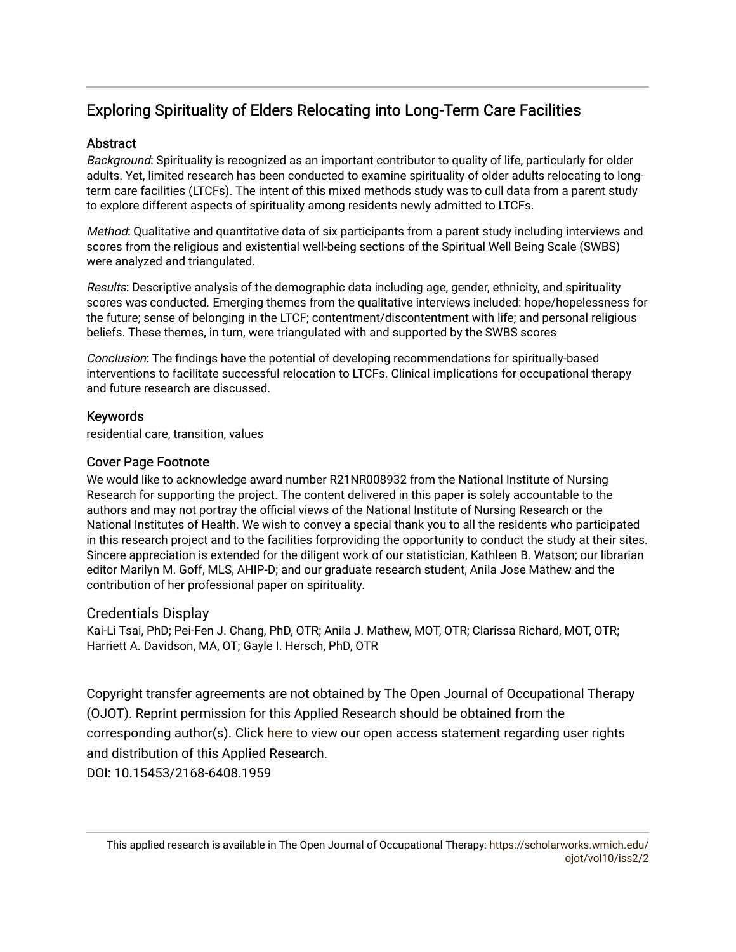# Exploring Spirituality of Elders Relocating into Long-Term Care Facilities

#### **Abstract**

Background: Spirituality is recognized as an important contributor to quality of life, particularly for older adults. Yet, limited research has been conducted to examine spirituality of older adults relocating to longterm care facilities (LTCFs). The intent of this mixed methods study was to cull data from a parent study to explore different aspects of spirituality among residents newly admitted to LTCFs.

Method: Qualitative and quantitative data of six participants from a parent study including interviews and scores from the religious and existential well-being sections of the Spiritual Well Being Scale (SWBS) were analyzed and triangulated.

Results: Descriptive analysis of the demographic data including age, gender, ethnicity, and spirituality scores was conducted. Emerging themes from the qualitative interviews included: hope/hopelessness for the future; sense of belonging in the LTCF; contentment/discontentment with life; and personal religious beliefs. These themes, in turn, were triangulated with and supported by the SWBS scores

Conclusion: The findings have the potential of developing recommendations for spiritually-based interventions to facilitate successful relocation to LTCFs. Clinical implications for occupational therapy and future research are discussed.

#### Keywords

residential care, transition, values

#### Cover Page Footnote

We would like to acknowledge award number R21NR008932 from the National Institute of Nursing Research for supporting the project. The content delivered in this paper is solely accountable to the authors and may not portray the official views of the National Institute of Nursing Research or the National Institutes of Health. We wish to convey a special thank you to all the residents who participated in this research project and to the facilities forproviding the opportunity to conduct the study at their sites. Sincere appreciation is extended for the diligent work of our statistician, Kathleen B. Watson; our librarian editor Marilyn M. Goff, MLS, AHIP-D; and our graduate research student, Anila Jose Mathew and the contribution of her professional paper on spirituality.

#### Credentials Display

Kai-Li Tsai, PhD; Pei-Fen J. Chang, PhD, OTR; Anila J. Mathew, MOT, OTR; Clarissa Richard, MOT, OTR; Harriett A. Davidson, MA, OT; Gayle I. Hersch, PhD, OTR

Copyright transfer agreements are not obtained by The Open Journal of Occupational Therapy (OJOT). Reprint permission for this Applied Research should be obtained from the corresponding author(s). Click [here](https://scholarworks.wmich.edu/ojot/policies.html#rights) to view our open access statement regarding user rights and distribution of this Applied Research. DOI: 10.15453/2168-6408.1959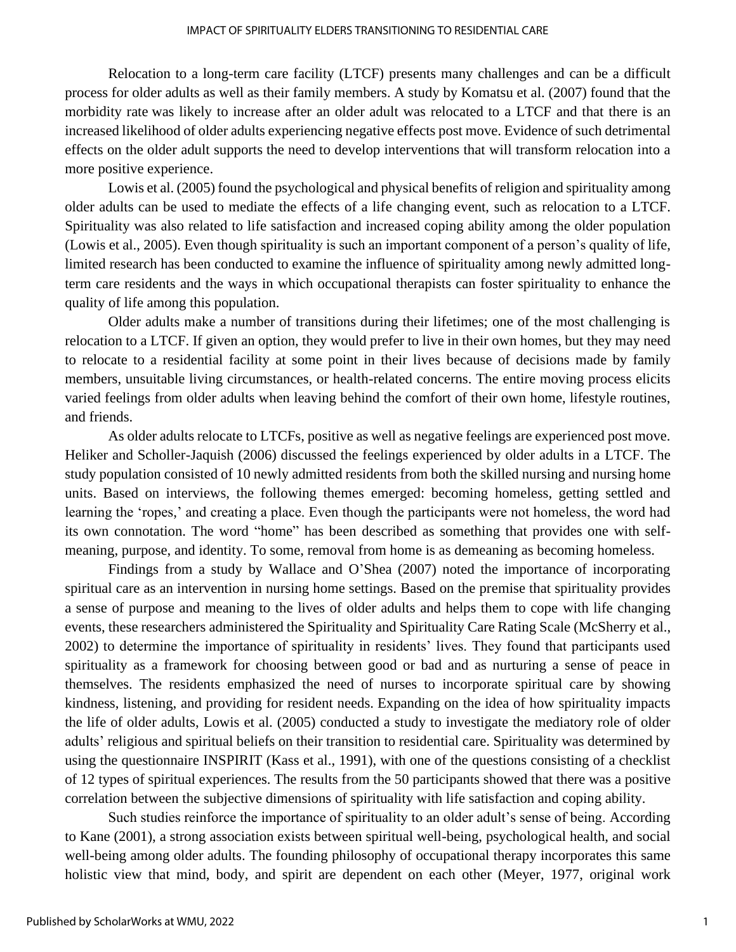Relocation to a long-term care facility (LTCF) presents many challenges and can be a difficult process for older adults as well as their family members. A study by Komatsu et al. (2007) found that the morbidity rate was likely to increase after an older adult was relocated to a LTCF and that there is an increased likelihood of older adults experiencing negative effects post move. Evidence of such detrimental effects on the older adult supports the need to develop interventions that will transform relocation into a more positive experience.

Lowis et al. (2005) found the psychological and physical benefits of religion and spirituality among older adults can be used to mediate the effects of a life changing event, such as relocation to a LTCF. Spirituality was also related to life satisfaction and increased coping ability among the older population (Lowis et al., 2005). Even though spirituality is such an important component of a person's quality of life, limited research has been conducted to examine the influence of spirituality among newly admitted longterm care residents and the ways in which occupational therapists can foster spirituality to enhance the quality of life among this population.

Older adults make a number of transitions during their lifetimes; one of the most challenging is relocation to a LTCF. If given an option, they would prefer to live in their own homes, but they may need to relocate to a residential facility at some point in their lives because of decisions made by family members, unsuitable living circumstances, or health-related concerns. The entire moving process elicits varied feelings from older adults when leaving behind the comfort of their own home, lifestyle routines, and friends.

As older adults relocate to LTCFs, positive as well as negative feelings are experienced post move. Heliker and Scholler-Jaquish (2006) discussed the feelings experienced by older adults in a LTCF. The study population consisted of 10 newly admitted residents from both the skilled nursing and nursing home units. Based on interviews, the following themes emerged: becoming homeless, getting settled and learning the 'ropes,' and creating a place. Even though the participants were not homeless, the word had its own connotation. The word "home" has been described as something that provides one with selfmeaning, purpose, and identity. To some, removal from home is as demeaning as becoming homeless.

Findings from a study by Wallace and O'Shea (2007) noted the importance of incorporating spiritual care as an intervention in nursing home settings. Based on the premise that spirituality provides a sense of purpose and meaning to the lives of older adults and helps them to cope with life changing events, these researchers administered the Spirituality and Spirituality Care Rating Scale (McSherry et al., 2002) to determine the importance of spirituality in residents' lives. They found that participants used spirituality as a framework for choosing between good or bad and as nurturing a sense of peace in themselves. The residents emphasized the need of nurses to incorporate spiritual care by showing kindness, listening, and providing for resident needs. Expanding on the idea of how spirituality impacts the life of older adults, Lowis et al. (2005) conducted a study to investigate the mediatory role of older adults' religious and spiritual beliefs on their transition to residential care. Spirituality was determined by using the questionnaire INSPIRIT (Kass et al., 1991), with one of the questions consisting of a checklist of 12 types of spiritual experiences. The results from the 50 participants showed that there was a positive correlation between the subjective dimensions of spirituality with life satisfaction and coping ability.

Such studies reinforce the importance of spirituality to an older adult's sense of being. According to Kane (2001), a strong association exists between spiritual well-being, psychological health, and social well-being among older adults. The founding philosophy of occupational therapy incorporates this same holistic view that mind, body, and spirit are dependent on each other (Meyer, 1977, original work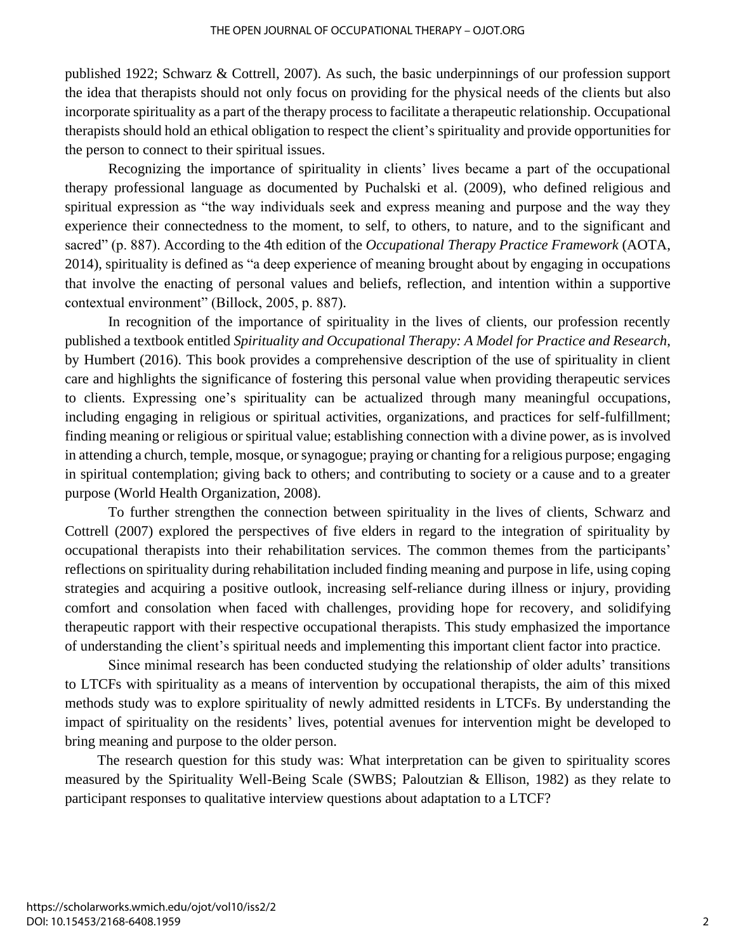published 1922; Schwarz & Cottrell, 2007). As such, the basic underpinnings of our profession support the idea that therapists should not only focus on providing for the physical needs of the clients but also incorporate spirituality as a part of the therapy process to facilitate a therapeutic relationship. Occupational therapists should hold an ethical obligation to respect the client's spirituality and provide opportunities for the person to connect to their spiritual issues.

Recognizing the importance of spirituality in clients' lives became a part of the occupational therapy professional language as documented by Puchalski et al. (2009), who defined religious and spiritual expression as "the way individuals seek and express meaning and purpose and the way they experience their connectedness to the moment, to self, to others, to nature, and to the significant and sacred" (p. 887). According to the 4th edition of the *Occupational Therapy Practice Framework* (AOTA, 2014), spirituality is defined as "a deep experience of meaning brought about by engaging in occupations that involve the enacting of personal values and beliefs, reflection, and intention within a supportive contextual environment" (Billock, 2005, p. 887).

In recognition of the importance of spirituality in the lives of clients, our profession recently published a textbook entitled *Spirituality and Occupational Therapy: A Model for Practice and Research*, by Humbert (2016). This book provides a comprehensive description of the use of spirituality in client care and highlights the significance of fostering this personal value when providing therapeutic services to clients. Expressing one's spirituality can be actualized through many meaningful occupations, including engaging in religious or spiritual activities, organizations, and practices for self-fulfillment; finding meaning or religious or spiritual value; establishing connection with a divine power, as is involved in attending a church, temple, mosque, or synagogue; praying or chanting for a religious purpose; engaging in spiritual contemplation; giving back to others; and contributing to society or a cause and to a greater purpose (World Health Organization, 2008).

To further strengthen the connection between spirituality in the lives of clients, Schwarz and Cottrell (2007) explored the perspectives of five elders in regard to the integration of spirituality by occupational therapists into their rehabilitation services. The common themes from the participants' reflections on spirituality during rehabilitation included finding meaning and purpose in life, using coping strategies and acquiring a positive outlook, increasing self-reliance during illness or injury, providing comfort and consolation when faced with challenges, providing hope for recovery, and solidifying therapeutic rapport with their respective occupational therapists. This study emphasized the importance of understanding the client's spiritual needs and implementing this important client factor into practice.

 Since minimal research has been conducted studying the relationship of older adults' transitions to LTCFs with spirituality as a means of intervention by occupational therapists, the aim of this mixed methods study was to explore spirituality of newly admitted residents in LTCFs. By understanding the impact of spirituality on the residents' lives, potential avenues for intervention might be developed to bring meaning and purpose to the older person.

 The research question for this study was: What interpretation can be given to spirituality scores measured by the Spirituality Well-Being Scale (SWBS; Paloutzian & Ellison, 1982) as they relate to participant responses to qualitative interview questions about adaptation to a LTCF?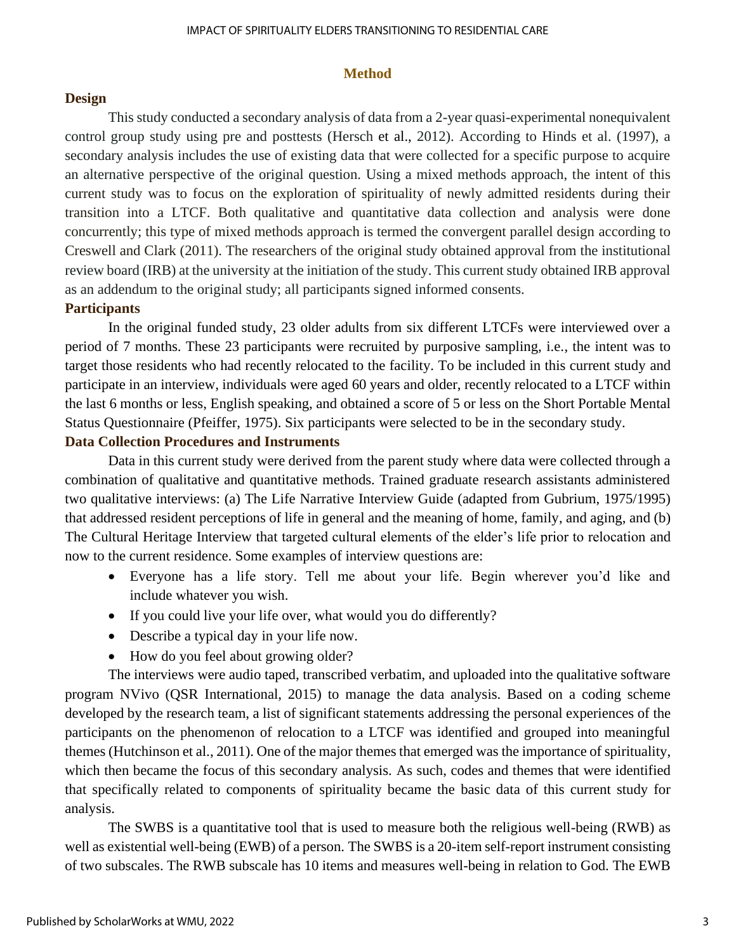#### **Method**

#### **Design**

This study conducted a secondary analysis of data from a 2-year quasi-experimental nonequivalent control group study using pre and posttests (Hersch et al., 2012). According to Hinds et al. (1997), a secondary analysis includes the use of existing data that were collected for a specific purpose to acquire an alternative perspective of the original question. Using a mixed methods approach, the intent of this current study was to focus on the exploration of spirituality of newly admitted residents during their transition into a LTCF. Both qualitative and quantitative data collection and analysis were done concurrently; this type of mixed methods approach is termed the convergent parallel design according to Creswell and Clark (2011). The researchers of the original study obtained approval from the institutional review board (IRB) at the university at the initiation of the study. This current study obtained IRB approval as an addendum to the original study; all participants signed informed consents.

#### **Participants**

In the original funded study, 23 older adults from six different LTCFs were interviewed over a period of 7 months. These 23 participants were recruited by purposive sampling, i.e., the intent was to target those residents who had recently relocated to the facility. To be included in this current study and participate in an interview, individuals were aged 60 years and older, recently relocated to a LTCF within the last 6 months or less, English speaking, and obtained a score of 5 or less on the Short Portable Mental Status Questionnaire (Pfeiffer, 1975). Six participants were selected to be in the secondary study.

#### **Data Collection Procedures and Instruments**

Data in this current study were derived from the parent study where data were collected through a combination of qualitative and quantitative methods. Trained graduate research assistants administered two qualitative interviews: (a) The Life Narrative Interview Guide (adapted from Gubrium, 1975/1995) that addressed resident perceptions of life in general and the meaning of home, family, and aging, and (b) The Cultural Heritage Interview that targeted cultural elements of the elder's life prior to relocation and now to the current residence. Some examples of interview questions are:

- Everyone has a life story. Tell me about your life. Begin wherever you'd like and include whatever you wish.
- If you could live your life over, what would you do differently?
- Describe a typical day in your life now.
- How do you feel about growing older?

The interviews were audio taped, transcribed verbatim, and uploaded into the qualitative software program NVivo (QSR International, 2015) to manage the data analysis. Based on a coding scheme developed by the research team, a list of significant statements addressing the personal experiences of the participants on the phenomenon of relocation to a LTCF was identified and grouped into meaningful themes (Hutchinson et al., 2011). One of the major themes that emerged was the importance of spirituality, which then became the focus of this secondary analysis. As such, codes and themes that were identified that specifically related to components of spirituality became the basic data of this current study for analysis.

The SWBS is a quantitative tool that is used to measure both the religious well-being (RWB) as well as existential well-being (EWB) of a person. The SWBS is a 20-item self-report instrument consisting of two subscales. The RWB subscale has 10 items and measures well-being in relation to God. The EWB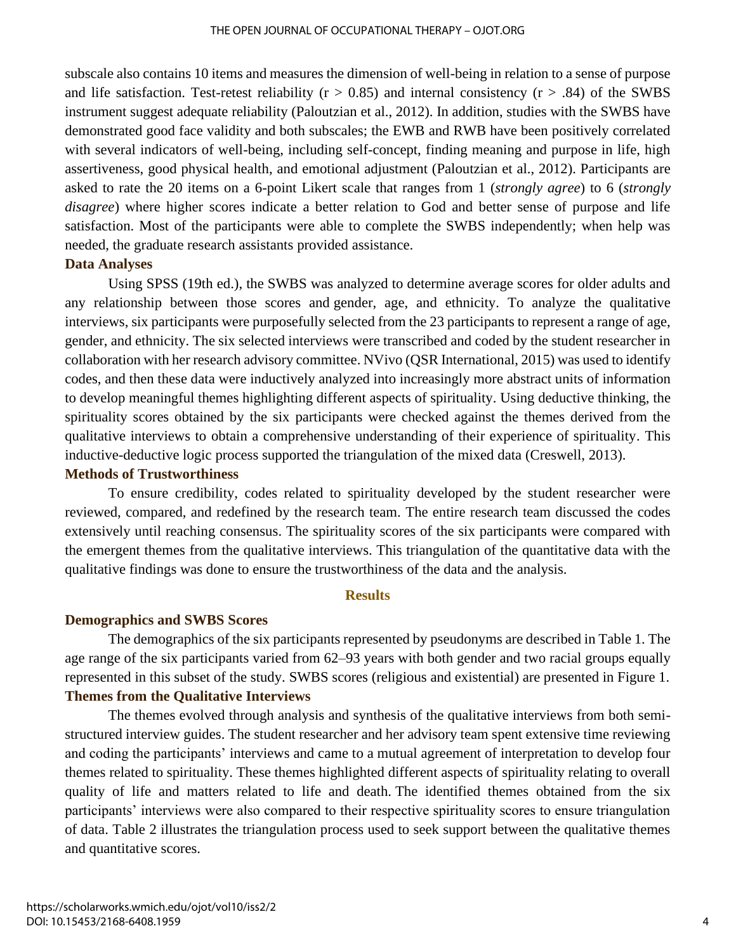subscale also contains 10 items and measures the dimension of well-being in relation to a sense of purpose and life satisfaction. Test-retest reliability ( $r > 0.85$ ) and internal consistency ( $r > .84$ ) of the SWBS instrument suggest adequate reliability (Paloutzian et al., 2012). In addition, studies with the SWBS have demonstrated good face validity and both subscales; the EWB and RWB have been positively correlated with several indicators of well-being, including self-concept, finding meaning and purpose in life, high assertiveness, good physical health, and emotional adjustment (Paloutzian et al., 2012). Participants are asked to rate the 20 items on a 6-point Likert scale that ranges from 1 (*strongly agree*) to 6 (*strongly disagree*) where higher scores indicate a better relation to God and better sense of purpose and life satisfaction. Most of the participants were able to complete the SWBS independently; when help was needed, the graduate research assistants provided assistance.

#### **Data Analyses**

Using SPSS (19th ed.), the SWBS was analyzed to determine average scores for older adults and any relationship between those scores and gender, age, and ethnicity. To analyze the qualitative interviews, six participants were purposefully selected from the 23 participants to represent a range of age, gender, and ethnicity. The six selected interviews were transcribed and coded by the student researcher in collaboration with her research advisory committee. NVivo (QSR International, 2015) was used to identify codes, and then these data were inductively analyzed into increasingly more abstract units of information to develop meaningful themes highlighting different aspects of spirituality. Using deductive thinking, the spirituality scores obtained by the six participants were checked against the themes derived from the qualitative interviews to obtain a comprehensive understanding of their experience of spirituality. This inductive-deductive logic process supported the triangulation of the mixed data (Creswell, 2013).

#### **Methods of Trustworthiness**

To ensure credibility, codes related to spirituality developed by the student researcher were reviewed, compared, and redefined by the research team. The entire research team discussed the codes extensively until reaching consensus. The spirituality scores of the six participants were compared with the emergent themes from the qualitative interviews. This triangulation of the quantitative data with the qualitative findings was done to ensure the trustworthiness of the data and the analysis.

#### **Results**

#### **Demographics and SWBS Scores**

The demographics of the six participants represented by pseudonyms are described in Table 1. The age range of the six participants varied from 62–93 years with both gender and two racial groups equally represented in this subset of the study. SWBS scores (religious and existential) are presented in Figure 1. **Themes from the Qualitative Interviews**

The themes evolved through analysis and synthesis of the qualitative interviews from both semistructured interview guides. The student researcher and her advisory team spent extensive time reviewing and coding the participants' interviews and came to a mutual agreement of interpretation to develop four themes related to spirituality. These themes highlighted different aspects of spirituality relating to overall quality of life and matters related to life and death. The identified themes obtained from the six participants' interviews were also compared to their respective spirituality scores to ensure triangulation of data. Table 2 illustrates the triangulation process used to seek support between the qualitative themes and quantitative scores.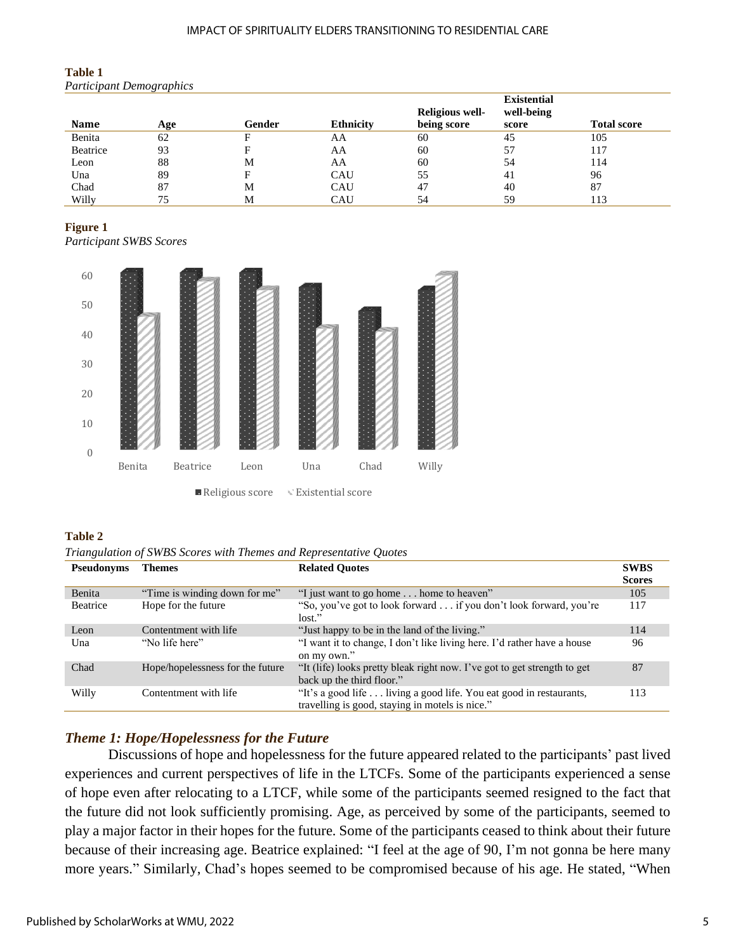#### IMPACT OF SPIRITUALITY ELDERS TRANSITIONING TO RESIDENTIAL CARE

| <b>Table 1</b>              |  |
|-----------------------------|--|
| <b>Participant Demograp</b> |  |

| <b>Participant Demographics</b> |     |        |                  |                 |                    |                    |  |  |
|---------------------------------|-----|--------|------------------|-----------------|--------------------|--------------------|--|--|
|                                 |     |        |                  |                 | <b>Existential</b> |                    |  |  |
|                                 |     |        |                  | Religious well- | well-being         |                    |  |  |
| <b>Name</b>                     | Age | Gender | <b>Ethnicity</b> | being score     | score              | <b>Total score</b> |  |  |
| Benita                          | 62  | F      | AA               | 60              | 45                 | 105                |  |  |
| Beatrice                        | 93  | F      | AA               | 60              | 57                 | 117                |  |  |
| Leon                            | 88  | M      | AA               | 60              | 54                 | 114                |  |  |
| Una                             | 89  | F      | CAU              | 55              | 41                 | 96                 |  |  |
| Chad                            | 87  | M      | CAU              | 47              | 40                 | 87                 |  |  |
| Willy                           | 75  | M      | CAU              | 54              | 59                 | 113                |  |  |

#### **Figure 1**

*Participant SWBS Scores*



#### **Table 2**

*Triangulation of SWBS Scores with Themes and Representative Quotes*

| <b>Pseudonyms</b> | <b>Themes</b>                    | <b>Related Ouotes</b>                                                                                                 | <b>SWBS</b>   |
|-------------------|----------------------------------|-----------------------------------------------------------------------------------------------------------------------|---------------|
|                   |                                  |                                                                                                                       | <b>Scores</b> |
| Benita            | "Time is winding down for me"    | "I just want to go home  home to heaven"                                                                              | 105           |
| Beatrice          | Hope for the future              | "So, you've got to look forward if you don't look forward, you're<br>lost."                                           | 117           |
| Leon              | Contentment with life            | "Just happy to be in the land of the living."                                                                         | 114           |
| Una               | "No life here"                   | "I want it to change, I don't like living here. I'd rather have a house<br>on my own."                                | 96            |
| Chad              | Hope/hopelessness for the future | "It (life) looks pretty bleak right now. I've got to get strength to get<br>back up the third floor."                 | 87            |
| Willy             | Contentment with life            | "It's a good life living a good life. You eat good in restaurants,<br>travelling is good, staying in motels is nice." | 113           |

#### *Theme 1: Hope/Hopelessness for the Future*

Discussions of hope and hopelessness for the future appeared related to the participants' past lived experiences and current perspectives of life in the LTCFs. Some of the participants experienced a sense of hope even after relocating to a LTCF, while some of the participants seemed resigned to the fact that the future did not look sufficiently promising. Age, as perceived by some of the participants, seemed to play a major factor in their hopes for the future. Some of the participants ceased to think about their future because of their increasing age. Beatrice explained: "I feel at the age of 90, I'm not gonna be here many more years." Similarly, Chad's hopes seemed to be compromised because of his age. He stated, "When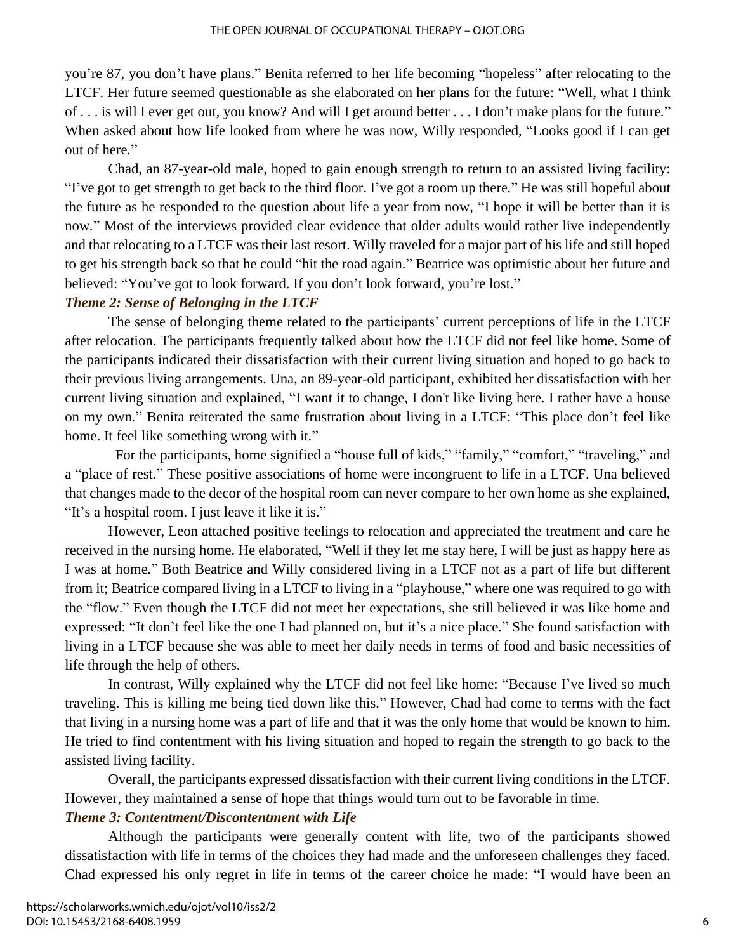you're 87, you don't have plans." Benita referred to her life becoming "hopeless" after relocating to the LTCF. Her future seemed questionable as she elaborated on her plans for the future: "Well, what I think of . . . is will I ever get out, you know? And will I get around better . . . I don't make plans for the future*.*" When asked about how life looked from where he was now, Willy responded, "Looks good if I can get out of here*.*"

Chad, an 87-year-old male, hoped to gain enough strength to return to an assisted living facility: "I've got to get strength to get back to the third floor. I've got a room up there*.*" He was still hopeful about the future as he responded to the question about life a year from now, "I hope it will be better than it is now." Most of the interviews provided clear evidence that older adults would rather live independently and that relocating to a LTCF was their last resort. Willy traveled for a major part of his life and still hoped to get his strength back so that he could "hit the road again." Beatrice was optimistic about her future and believed: "You've got to look forward. If you don't look forward, you're lost."

#### *Theme 2: Sense of Belonging in the LTCF*

The sense of belonging theme related to the participants' current perceptions of life in the LTCF after relocation. The participants frequently talked about how the LTCF did not feel like home. Some of the participants indicated their dissatisfaction with their current living situation and hoped to go back to their previous living arrangements. Una, an 89-year-old participant, exhibited her dissatisfaction with her current living situation and explained, "I want it to change, I don't like living here. I rather have a house on my own*.*" Benita reiterated the same frustration about living in a LTCF: "This place don't feel like home. It feel like something wrong with it*.*"

For the participants, home signified a "house full of kids," "family," "comfort," "traveling," and a "place of rest." These positive associations of home were incongruent to life in a LTCF. Una believed that changes made to the decor of the hospital room can never compare to her own home as she explained, "It's a hospital room. I just leave it like it is*.*"

However, Leon attached positive feelings to relocation and appreciated the treatment and care he received in the nursing home. He elaborated, "Well if they let me stay here, I will be just as happy here as I was at home*.*" Both Beatrice and Willy considered living in a LTCF not as a part of life but different from it; Beatrice compared living in a LTCF to living in a "playhouse," where one was required to go with the "flow." Even though the LTCF did not meet her expectations, she still believed it was like home and expressed: "It don't feel like the one I had planned on, but it's a nice place*.*" She found satisfaction with living in a LTCF because she was able to meet her daily needs in terms of food and basic necessities of life through the help of others.

In contrast, Willy explained why the LTCF did not feel like home: "Because I've lived so much traveling. This is killing me being tied down like this*.*" However, Chad had come to terms with the fact that living in a nursing home was a part of life and that it was the only home that would be known to him. He tried to find contentment with his living situation and hoped to regain the strength to go back to the assisted living facility.

Overall, the participants expressed dissatisfaction with their current living conditions in the LTCF. However, they maintained a sense of hope that things would turn out to be favorable in time.

### *Theme 3: Contentment/Discontentment with Life*

Although the participants were generally content with life, two of the participants showed dissatisfaction with life in terms of the choices they had made and the unforeseen challenges they faced. Chad expressed his only regret in life in terms of the career choice he made: "I would have been an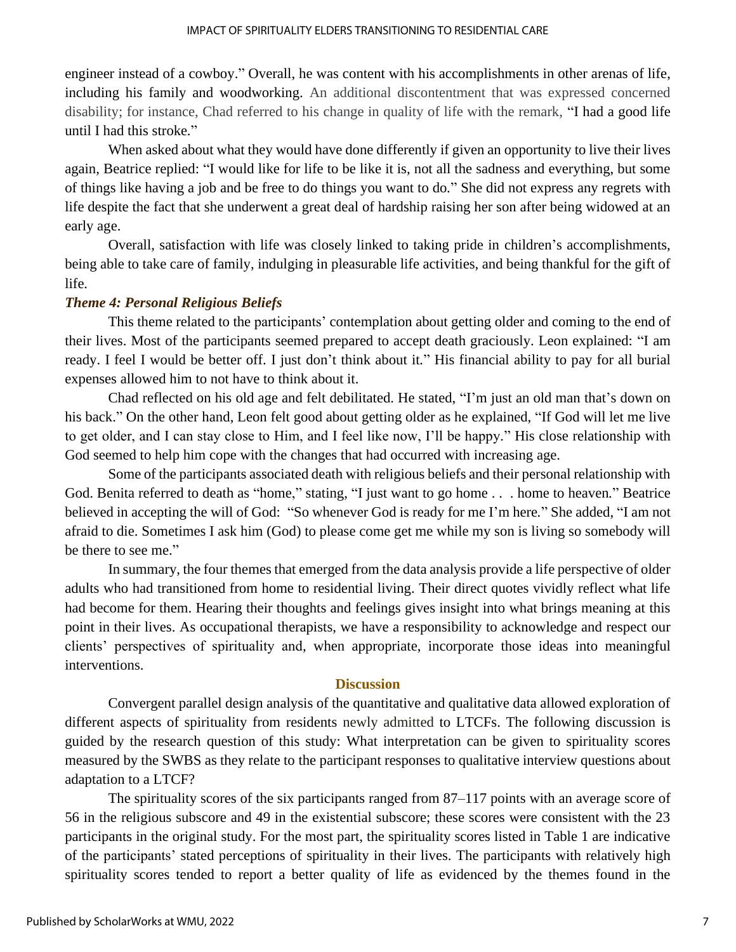engineer instead of a cowboy." Overall, he was content with his accomplishments in other arenas of life, including his family and woodworking. An additional discontentment that was expressed concerned disability; for instance, Chad referred to his change in quality of life with the remark, "I had a good life until I had this stroke*.*"

When asked about what they would have done differently if given an opportunity to live their lives again, Beatrice replied: "I would like for life to be like it is, not all the sadness and everything, but some of things like having a job and be free to do things you want to do*.*" She did not express any regrets with life despite the fact that she underwent a great deal of hardship raising her son after being widowed at an early age.

Overall, satisfaction with life was closely linked to taking pride in children's accomplishments, being able to take care of family, indulging in pleasurable life activities, and being thankful for the gift of life.

#### *Theme 4: Personal Religious Beliefs*

This theme related to the participants' contemplation about getting older and coming to the end of their lives. Most of the participants seemed prepared to accept death graciously. Leon explained: "I am ready. I feel I would be better off. I just don't think about it*.*" His financial ability to pay for all burial expenses allowed him to not have to think about it.

Chad reflected on his old age and felt debilitated. He stated, "I'm just an old man that's down on his back." On the other hand, Leon felt good about getting older as he explained, "If God will let me live to get older, and I can stay close to Him, and I feel like now, I'll be happy*.*" His close relationship with God seemed to help him cope with the changes that had occurred with increasing age.

 Some of the participants associated death with religious beliefs and their personal relationship with God. Benita referred to death as "home," stating, "I just want to go home . . . home to heaven*.*" Beatrice believed in accepting the will of God: "So whenever God is ready for me I'm here*.*" She added, "I am not afraid to die. Sometimes I ask him (God) to please come get me while my son is living so somebody will be there to see me."

 In summary, the four themes that emerged from the data analysis provide a life perspective of older adults who had transitioned from home to residential living. Their direct quotes vividly reflect what life had become for them. Hearing their thoughts and feelings gives insight into what brings meaning at this point in their lives. As occupational therapists, we have a responsibility to acknowledge and respect our clients' perspectives of spirituality and, when appropriate, incorporate those ideas into meaningful interventions.

#### **Discussion**

 Convergent parallel design analysis of the quantitative and qualitative data allowed exploration of different aspects of spirituality from residents newly admitted to LTCFs. The following discussion is guided by the research question of this study: What interpretation can be given to spirituality scores measured by the SWBS as they relate to the participant responses to qualitative interview questions about adaptation to a LTCF?

 The spirituality scores of the six participants ranged from 87–117 points with an average score of 56 in the religious subscore and 49 in the existential subscore; these scores were consistent with the 23 participants in the original study. For the most part, the spirituality scores listed in Table 1 are indicative of the participants' stated perceptions of spirituality in their lives. The participants with relatively high spirituality scores tended to report a better quality of life as evidenced by the themes found in the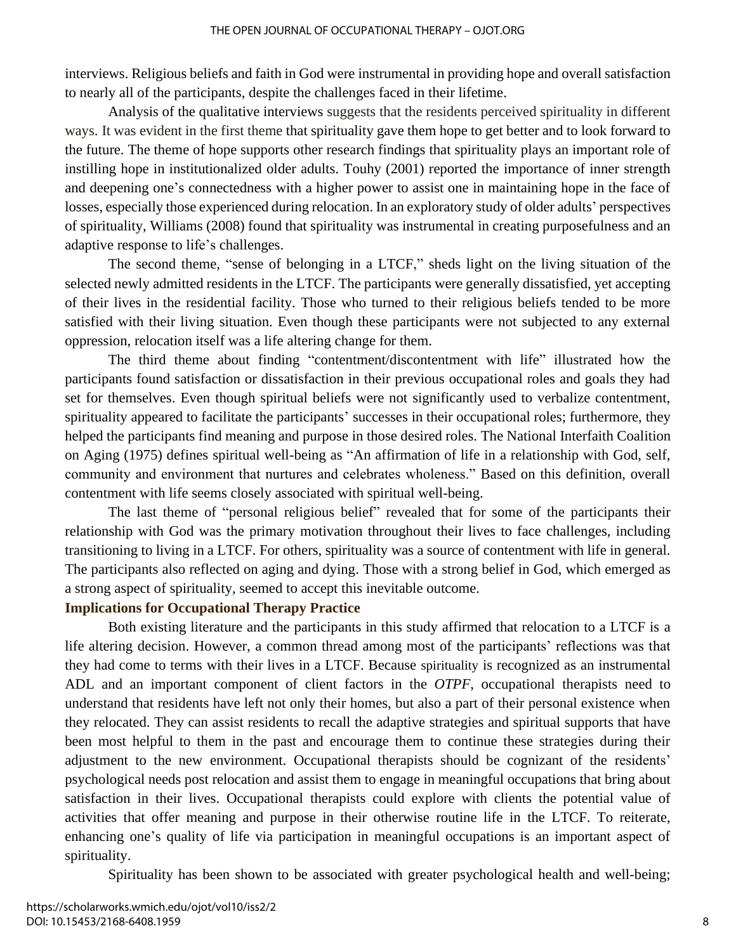interviews. Religious beliefs and faith in God were instrumental in providing hope and overall satisfaction to nearly all of the participants, despite the challenges faced in their lifetime.

 Analysis of the qualitative interviews suggests that the residents perceived spirituality in different ways. It was evident in the first theme that spirituality gave them hope to get better and to look forward to the future. The theme of hope supports other research findings that spirituality plays an important role of instilling hope in institutionalized older adults. Touhy (2001) reported the importance of inner strength and deepening one's connectedness with a higher power to assist one in maintaining hope in the face of losses, especially those experienced during relocation. In an exploratory study of older adults' perspectives of spirituality, Williams (2008) found that spirituality was instrumental in creating purposefulness and an adaptive response to life's challenges.

The second theme, "sense of belonging in a LTCF," sheds light on the living situation of the selected newly admitted residents in the LTCF. The participants were generally dissatisfied, yet accepting of their lives in the residential facility. Those who turned to their religious beliefs tended to be more satisfied with their living situation. Even though these participants were not subjected to any external oppression, relocation itself was a life altering change for them.

The third theme about finding "contentment/discontentment with life" illustrated how the participants found satisfaction or dissatisfaction in their previous occupational roles and goals they had set for themselves. Even though spiritual beliefs were not significantly used to verbalize contentment, spirituality appeared to facilitate the participants' successes in their occupational roles; furthermore, they helped the participants find meaning and purpose in those desired roles. The National Interfaith Coalition on Aging (1975) defines spiritual well-being as "An affirmation of life in a relationship with God, self, community and environment that nurtures and celebrates wholeness." Based on this definition, overall contentment with life seems closely associated with spiritual well-being.

The last theme of "personal religious belief" revealed that for some of the participants their relationship with God was the primary motivation throughout their lives to face challenges, including transitioning to living in a LTCF. For others, spirituality was a source of contentment with life in general. The participants also reflected on aging and dying. Those with a strong belief in God, which emerged as a strong aspect of spirituality, seemed to accept this inevitable outcome.

#### **Implications for Occupational Therapy Practice**

Both existing literature and the participants in this study affirmed that relocation to a LTCF is a life altering decision. However, a common thread among most of the participants' reflections was that they had come to terms with their lives in a LTCF. Because spirituality is recognized as an instrumental ADL and an important component of client factors in the *OTPF*, occupational therapists need to understand that residents have left not only their homes, but also a part of their personal existence when they relocated. They can assist residents to recall the adaptive strategies and spiritual supports that have been most helpful to them in the past and encourage them to continue these strategies during their adjustment to the new environment. Occupational therapists should be cognizant of the residents' psychological needs post relocation and assist them to engage in meaningful occupations that bring about satisfaction in their lives. Occupational therapists could explore with clients the potential value of activities that offer meaning and purpose in their otherwise routine life in the LTCF. To reiterate, enhancing one's quality of life via participation in meaningful occupations is an important aspect of spirituality.

Spirituality has been shown to be associated with greater psychological health and well-being;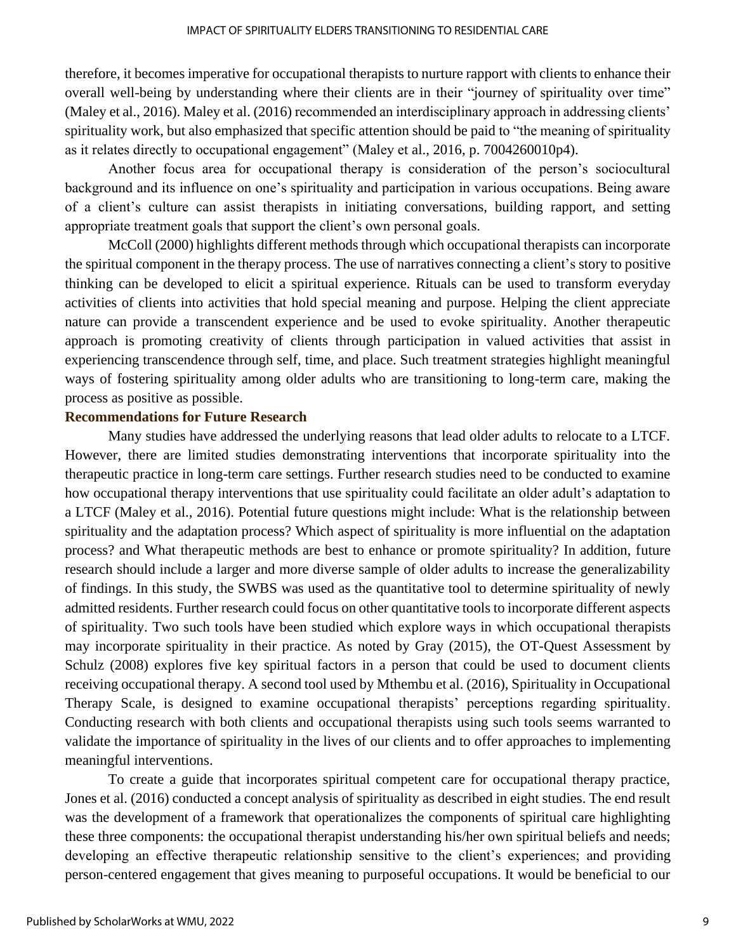therefore, it becomes imperative for occupational therapists to nurture rapport with clients to enhance their overall well-being by understanding where their clients are in their "journey of spirituality over time" (Maley et al., 2016). Maley et al. (2016) recommended an interdisciplinary approach in addressing clients' spirituality work, but also emphasized that specific attention should be paid to "the meaning of spirituality as it relates directly to occupational engagement" (Maley et al., 2016, p. 7004260010p4).

Another focus area for occupational therapy is consideration of the person's sociocultural background and its influence on one's spirituality and participation in various occupations. Being aware of a client's culture can assist therapists in initiating conversations, building rapport, and setting appropriate treatment goals that support the client's own personal goals.

McColl (2000) highlights different methods through which occupational therapists can incorporate the spiritual component in the therapy process. The use of narratives connecting a client's story to positive thinking can be developed to elicit a spiritual experience. Rituals can be used to transform everyday activities of clients into activities that hold special meaning and purpose. Helping the client appreciate nature can provide a transcendent experience and be used to evoke spirituality. Another therapeutic approach is promoting creativity of clients through participation in valued activities that assist in experiencing transcendence through self, time, and place. Such treatment strategies highlight meaningful ways of fostering spirituality among older adults who are transitioning to long-term care, making the process as positive as possible.

#### **Recommendations for Future Research**

Many studies have addressed the underlying reasons that lead older adults to relocate to a LTCF. However, there are limited studies demonstrating interventions that incorporate spirituality into the therapeutic practice in long-term care settings. Further research studies need to be conducted to examine how occupational therapy interventions that use spirituality could facilitate an older adult's adaptation to a LTCF (Maley et al., 2016). Potential future questions might include: What is the relationship between spirituality and the adaptation process? Which aspect of spirituality is more influential on the adaptation process? and What therapeutic methods are best to enhance or promote spirituality? In addition, future research should include a larger and more diverse sample of older adults to increase the generalizability of findings. In this study, the SWBS was used as the quantitative tool to determine spirituality of newly admitted residents. Further research could focus on other quantitative tools to incorporate different aspects of spirituality. Two such tools have been studied which explore ways in which occupational therapists may incorporate spirituality in their practice. As noted by Gray (2015), the OT-Quest Assessment by Schulz (2008) explores five key spiritual factors in a person that could be used to document clients receiving occupational therapy. A second tool used by Mthembu et al. (2016), Spirituality in Occupational Therapy Scale, is designed to examine occupational therapists' perceptions regarding spirituality. Conducting research with both clients and occupational therapists using such tools seems warranted to validate the importance of spirituality in the lives of our clients and to offer approaches to implementing meaningful interventions.

To create a guide that incorporates spiritual competent care for occupational therapy practice, Jones et al. (2016) conducted a concept analysis of spirituality as described in eight studies. The end result was the development of a framework that operationalizes the components of spiritual care highlighting these three components: the occupational therapist understanding his/her own spiritual beliefs and needs; developing an effective therapeutic relationship sensitive to the client's experiences; and providing person-centered engagement that gives meaning to purposeful occupations. It would be beneficial to our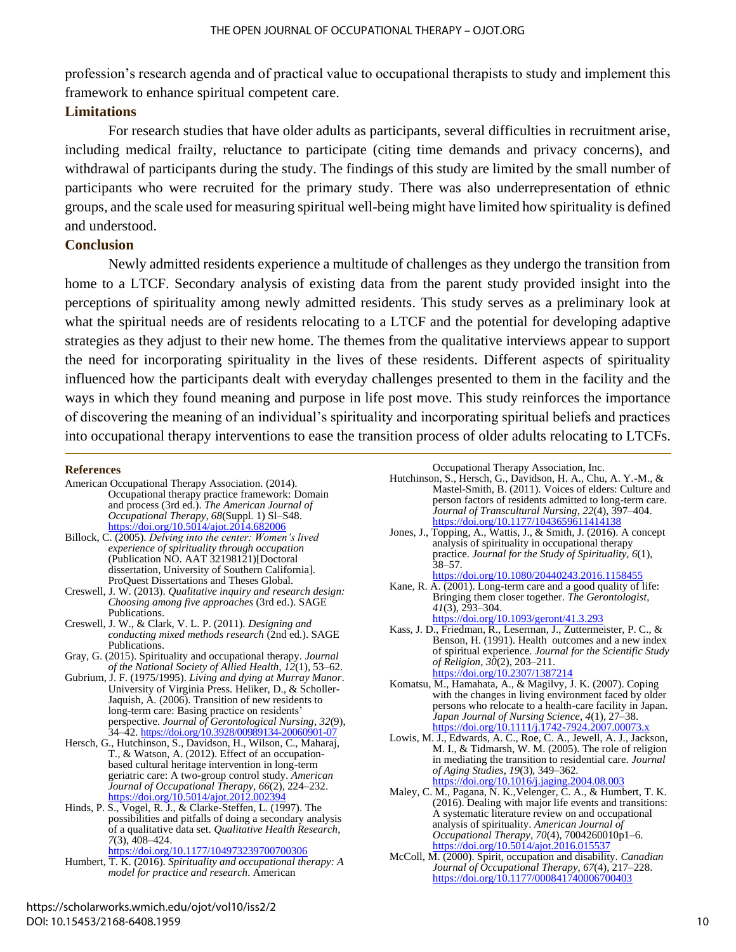profession's research agenda and of practical value to occupational therapists to study and implement this framework to enhance spiritual competent care.

## **Limitations**

For research studies that have older adults as participants, several difficulties in recruitment arise, including medical frailty, reluctance to participate (citing time demands and privacy concerns), and withdrawal of participants during the study. The findings of this study are limited by the small number of participants who were recruited for the primary study. There was also underrepresentation of ethnic groups, and the scale used for measuring spiritual well-being might have limited how spirituality is defined and understood.

### **Conclusion**

Newly admitted residents experience a multitude of challenges as they undergo the transition from home to a LTCF. Secondary analysis of existing data from the parent study provided insight into the perceptions of spirituality among newly admitted residents. This study serves as a preliminary look at what the spiritual needs are of residents relocating to a LTCF and the potential for developing adaptive strategies as they adjust to their new home. The themes from the qualitative interviews appear to support the need for incorporating spirituality in the lives of these residents. Different aspects of spirituality influenced how the participants dealt with everyday challenges presented to them in the facility and the ways in which they found meaning and purpose in life post move. This study reinforces the importance of discovering the meaning of an individual's spirituality and incorporating spiritual beliefs and practices into occupational therapy interventions to ease the transition process of older adults relocating to LTCFs.

#### **References**

- American Occupational Therapy Association. (2014). Occupational therapy practice framework: Domain and process (3rd ed.). *The American Journal of Occupational Therapy*, *68*(Suppl. 1) Sl–S48. <https://doi.org/10.5014/ajot.2014.682006>
- Billock, C. (2005). *Delving into the center: Women's lived experience of spirituality through occupation* (Publication NO. AAT 32198121)[Doctoral dissertation, University of Southern California]. ProQuest Dissertations and Theses Global.
- Creswell, J. W. (2013). *Qualitative inquiry and research design: Choosing among five approaches* (3rd ed.). SAGE Publications.
- Creswell, J. W., & Clark, V. L. P. (2011). *Designing and conducting mixed methods research* (2nd ed.). SAGE Publications.
- Gray, G. (2015). Spirituality and occupational therapy. *Journal of the National Society of Allied Health*, *12*(1), 53–62.
- Gubrium, J. F. (1975/1995). *Living and dying at Murray Manor*. University of Virginia Press. Heliker, D., & Scholler-Jaquish, A. (2006). Transition of new residents to long-term care: Basing practice on residents' perspective. *Journal of Gerontological Nursing*, *32*(9), 34–42.<https://doi.org/10.3928/00989134-20060901-07>
- Hersch, G., Hutchinson, S., Davidson, H., Wilson, C., Maharaj, T., & Watson, A. (2012). Effect of an occupationbased cultural heritage intervention in long-term geriatric care: A two-group control study. *American Journal of Occupational Therapy*, *66*(2), 224–232. https://doi.org/10.5014/ajot.2012.0023
- Hinds, P. S., Vogel, R. J., & Clarke-Steffen, L. (1997). The possibilities and pitfalls of doing a secondary analysis of a qualitative data set. *Qualitative Health Research*, *7*(3), 408–424.

<https://doi.org/10.1177/104973239700700306>

Humbert, T. K. (2016). *Spirituality and occupational therapy: A model for practice and research*. American

Occupational Therapy Association, Inc.

- Hutchinson, S., Hersch, G., Davidson, H. A., Chu, A. Y.-M., & Mastel-Smith, B. (2011). Voices of elders: Culture and person factors of residents admitted to long-term care. *Journal of Transcultural Nursing*, *22*(4), 397–404. <https://doi.org/10.1177/1043659611414138>
- Jones, J., Topping, A., Wattis, J., & Smith, J. (2016). A concept analysis of spirituality in occupational therapy practice. *Journal for the Study of Spirituality*, *6*(1),  $38 - 57$ . <https://doi.org/10.1080/20440243.2016.1158455>
- Kane, R. A. (2001). Long-term care and a good quality of life: Bringing them closer together. *The Gerontologist*, *41*(3), 293–304. <https://doi.org/10.1093/geront/41.3.293>
- Kass, J. D., Friedman, R., Leserman, J., Zuttermeister, P. C., & Benson, H. (1991). Health outcomes and a new index of spiritual experience. *Journal for the Scientific Study of Religion*, *30*(2), 203–211. <https://doi.org/10.2307/1387214>
- Komatsu, M., Hamahata, A., & Magilvy, J. K. (2007). Coping with the changes in living environment faced by older persons who relocate to a health-care facility in Japan. *Japan Journal of Nursing Science*, *4*(1), 27–38. https://doi.org/10.1111/j.1742-7924.2007.00073.
- Lowis, M. J., Edwards, A. C., Roe, C. A., Jewell, A. J., Jackson, M. I., & Tidmarsh, W. M. (2005). The role of religion in mediating the transition to residential care. *Journal of Aging Studies*, *19*(3), 349–362. <https://doi.org/10.1016/j.jaging.2004.08.003>
- Maley, C. M., Pagana, N. K.,Velenger, C. A., & Humbert, T. K. (2016). Dealing with major life events and transitions: A systematic literature review on and occupational analysis of spirituality. *American Journal of Occupational Therapy*, *70*(4), 7004260010p1–6. <https://doi.org/10.5014/ajot.2016.015537>
- McColl, M. (2000). Spirit, occupation and disability. *Canadian Journal of Occupational Therapy*, *67*(4), 217–228. <https://doi.org/10.1177/000841740006700403>